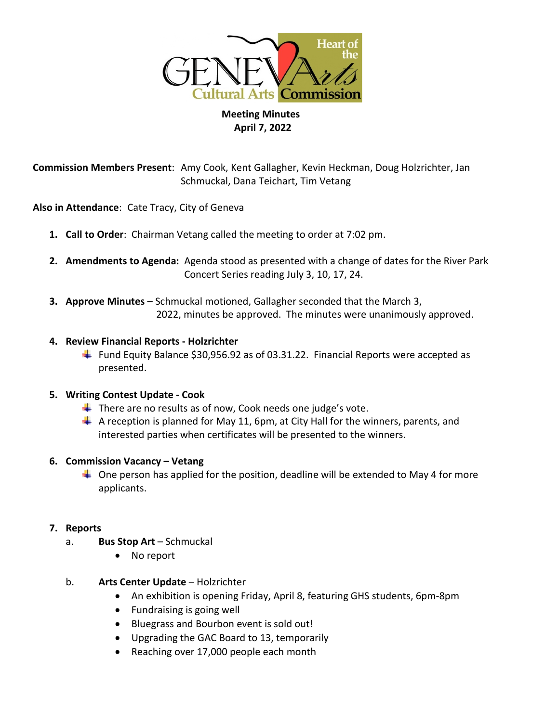

# **Meeting Minutes April 7, 2022**

**Commission Members Present**: Amy Cook, Kent Gallagher, Kevin Heckman, Doug Holzrichter, Jan Schmuckal, Dana Teichart, Tim Vetang

**Also in Attendance**: Cate Tracy, City of Geneva

- **1. Call to Order**: Chairman Vetang called the meeting to order at 7:02 pm.
- **2. Amendments to Agenda:** Agenda stood as presented with a change of dates for the River Park Concert Series reading July 3, 10, 17, 24.
- **3. Approve Minutes** Schmuckal motioned, Gallagher seconded that the March 3, 2022, minutes be approved. The minutes were unanimously approved.

#### **4. Review Financial Reports - Holzrichter**

Fund Equity Balance \$30,956.92 as of 03.31.22. Financial Reports were accepted as presented.

## **5. Writing Contest Update - Cook**

- $\ddot$  There are no results as of now, Cook needs one judge's vote.
- $\overline{+}$  A reception is planned for May 11, 6pm, at City Hall for the winners, parents, and interested parties when certificates will be presented to the winners.

#### **6. Commission Vacancy – Vetang**

 $\ddot{\phantom{1}}$  One person has applied for the position, deadline will be extended to May 4 for more applicants.

#### **7. Reports**

- a. **Bus Stop Art** Schmuckal
	- No report
- b. **Arts Center Update** Holzrichter
	- An exhibition is opening Friday, April 8, featuring GHS students, 6pm-8pm
	- Fundraising is going well
	- Bluegrass and Bourbon event is sold out!
	- Upgrading the GAC Board to 13, temporarily
	- Reaching over 17,000 people each month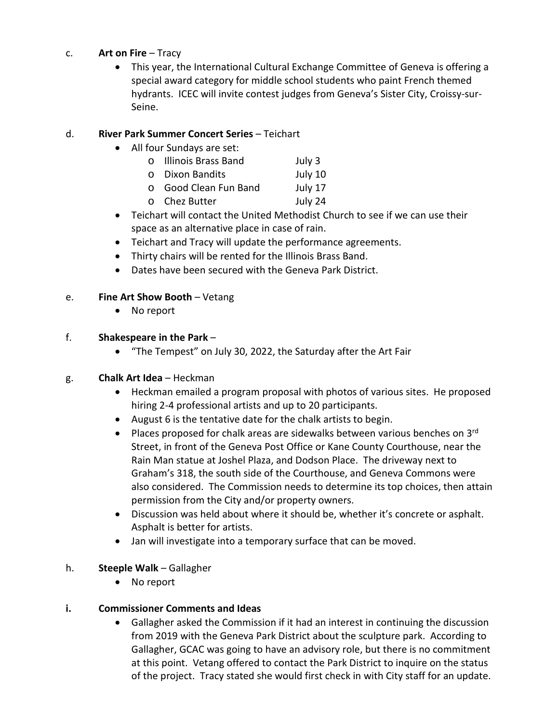#### c. **Art on Fire** – Tracy

• This year, the International Cultural Exchange Committee of Geneva is offering a special award category for middle school students who paint French themed hydrants. ICEC will invite contest judges from Geneva's Sister City, Croissy-sur-Seine.

## d. **River Park Summer Concert Series** – Teichart

- All four Sundays are set:
	- o Illinois Brass Band July 3
	- o Dixon Bandits July 10
	- o Good Clean Fun Band July 17<br>
	o Chez Butter July 24
	- o Chez Butter
- Teichart will contact the United Methodist Church to see if we can use their space as an alternative place in case of rain.
- Teichart and Tracy will update the performance agreements.
- Thirty chairs will be rented for the Illinois Brass Band.
- Dates have been secured with the Geneva Park District.

## e. **Fine Art Show Booth** – Vetang

• No report

## f. **Shakespeare in the Park** –

• "The Tempest" on July 30, 2022, the Saturday after the Art Fair

## g. **Chalk Art Idea** – Heckman

- Heckman emailed a program proposal with photos of various sites. He proposed hiring 2-4 professional artists and up to 20 participants.
- August 6 is the tentative date for the chalk artists to begin.
- Places proposed for chalk areas are sidewalks between various benches on  $3<sup>rd</sup>$ Street, in front of the Geneva Post Office or Kane County Courthouse, near the Rain Man statue at Joshel Plaza, and Dodson Place. The driveway next to Graham's 318, the south side of the Courthouse, and Geneva Commons were also considered. The Commission needs to determine its top choices, then attain permission from the City and/or property owners.
- Discussion was held about where it should be, whether it's concrete or asphalt. Asphalt is better for artists.
- Jan will investigate into a temporary surface that can be moved.

## h. **Steeple Walk** – Gallagher

• No report

## **i. Commissioner Comments and Ideas**

• Gallagher asked the Commission if it had an interest in continuing the discussion from 2019 with the Geneva Park District about the sculpture park. According to Gallagher, GCAC was going to have an advisory role, but there is no commitment at this point. Vetang offered to contact the Park District to inquire on the status of the project. Tracy stated she would first check in with City staff for an update.